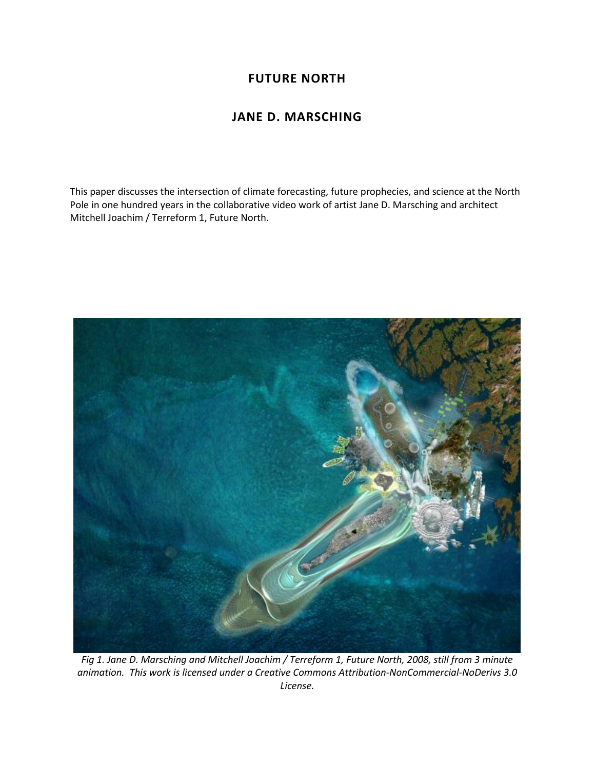## **FUTURE NORTH**

## **JANE D. MARSCHING**

This paper discusses the intersection of climate forecasting, future prophecies, and science at the North Pole in one hundred years in the collaborative video work of artist Jane D. Marsching and architect Mitchell Joachim / Terreform 1, Future North.



*Fig 1. Jane D. Marsching and Mitchell Joachim / Terreform 1, Future North, 2008, still from 3 minute animation. This work is licensed under a Creative Commons Attribution-NonCommercial-NoDerivs 3.0 License.*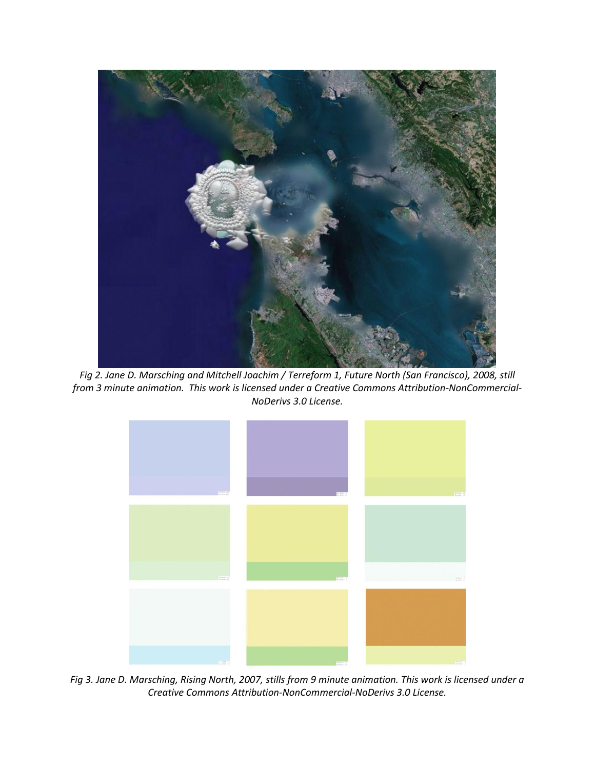

*Fig 2. Jane D. Marsching and Mitchell Joachim / Terreform 1, Future North (San Francisco), 2008, still from 3 minute animation. This work is licensed under a Creative Commons Attribution-NonCommercial-NoDerivs 3.0 License.*



*Fig 3. Jane D. Marsching, Rising North, 2007, stills from 9 minute animation. This work is licensed under a Creative Commons Attribution-NonCommercial-NoDerivs 3.0 License.*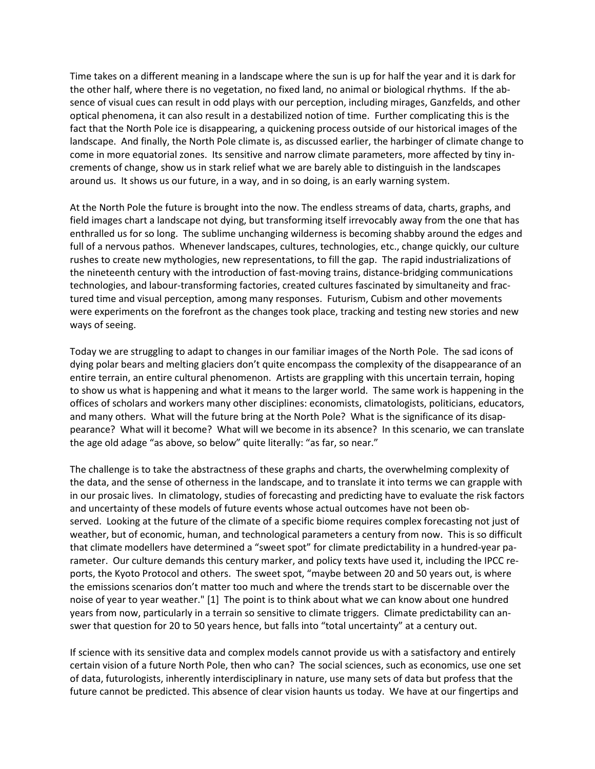Time takes on a different meaning in a landscape where the sun is up for half the year and it is dark for the other half, where there is no vegetation, no fixed land, no animal or biological rhythms. If the absence of visual cues can result in odd plays with our perception, including mirages, Ganzfelds, and other optical phenomena, it can also result in a destabilized notion of time. Further complicating this is the fact that the North Pole ice is disappearing, a quickening process outside of our historical images of the landscape. And finally, the North Pole climate is, as discussed earlier, the harbinger of climate change to come in more equatorial zones. Its sensitive and narrow climate parameters, more affected by tiny increments of change, show us in stark relief what we are barely able to distinguish in the landscapes around us. It shows us our future, in a way, and in so doing, is an early warning system.

At the North Pole the future is brought into the now. The endless streams of data, charts, graphs, and field images chart a landscape not dying, but transforming itself irrevocably away from the one that has enthralled us for so long. The sublime unchanging wilderness is becoming shabby around the edges and full of a nervous pathos. Whenever landscapes, cultures, technologies, etc., change quickly, our culture rushes to create new mythologies, new representations, to fill the gap. The rapid industrializations of the nineteenth century with the introduction of fast-moving trains, distance-bridging communications technologies, and labour-transforming factories, created cultures fascinated by simultaneity and fractured time and visual perception, among many responses. Futurism, Cubism and other movements were experiments on the forefront as the changes took place, tracking and testing new stories and new ways of seeing.

Today we are struggling to adapt to changes in our familiar images of the North Pole. The sad icons of dying polar bears and melting glaciers don't quite encompass the complexity of the disappearance of an entire terrain, an entire cultural phenomenon. Artists are grappling with this uncertain terrain, hoping to show us what is happening and what it means to the larger world. The same work is happening in the offices of scholars and workers many other disciplines: economists, climatologists, politicians, educators, and many others. What will the future bring at the North Pole? What is the significance of its disappearance? What will it become? What will we become in its absence? In this scenario, we can translate the age old adage "as above, so below" quite literally: "as far, so near."

The challenge is to take the abstractness of these graphs and charts, the overwhelming complexity of the data, and the sense of otherness in the landscape, and to translate it into terms we can grapple with in our prosaic lives. In climatology, studies of forecasting and predicting have to evaluate the risk factors and uncertainty of these models of future events whose actual outcomes have not been observed. Looking at the future of the climate of a specific biome requires complex forecasting not just of weather, but of economic, human, and technological parameters a century from now. This is so difficult that climate modellers have determined a "sweet spot" for climate predictability in a hundred-year parameter. Our culture demands this century marker, and policy texts have used it, including the IPCC reports, the Kyoto Protocol and others. The sweet spot, "maybe between 20 and 50 years out, is where the emissions scenarios don't matter too much and where the trends start to be discernable over the noise of year to year weather." [1] The point is to think about what we can know about one hundred years from now, particularly in a terrain so sensitive to climate triggers. Climate predictability can answer that question for 20 to 50 years hence, but falls into "total uncertainty" at a century out.

If science with its sensitive data and complex models cannot provide us with a satisfactory and entirely certain vision of a future North Pole, then who can? The social sciences, such as economics, use one set of data, futurologists, inherently interdisciplinary in nature, use many sets of data but profess that the future cannot be predicted. This absence of clear vision haunts us today. We have at our fingertips and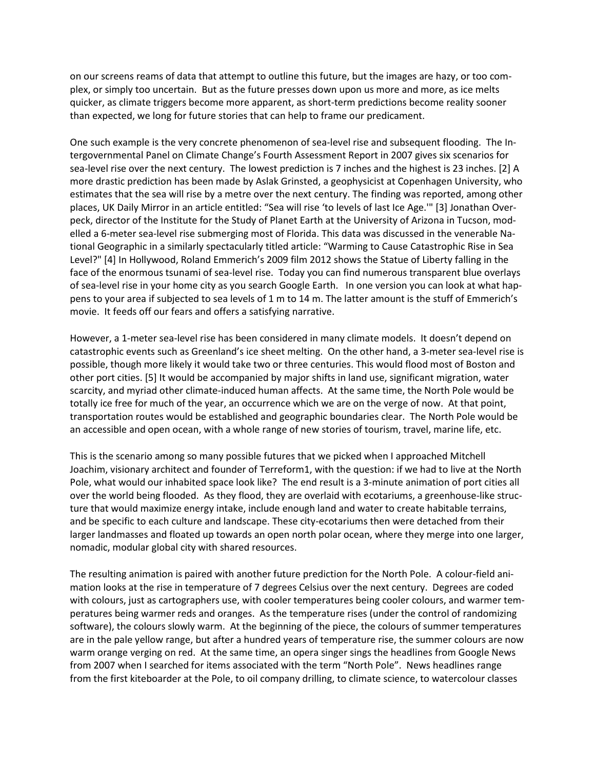on our screens reams of data that attempt to outline this future, but the images are hazy, or too complex, or simply too uncertain. But as the future presses down upon us more and more, as ice melts quicker, as climate triggers become more apparent, as short-term predictions become reality sooner than expected, we long for future stories that can help to frame our predicament.

One such example is the very concrete phenomenon of sea-level rise and subsequent flooding. The Intergovernmental Panel on Climate Change's Fourth Assessment Report in 2007 gives six scenarios for sea-level rise over the next century. The lowest prediction is 7 inches and the highest is 23 inches. [2] A more drastic prediction has been made by Aslak Grinsted, a geophysicist at Copenhagen University, who estimates that the sea will rise by a metre over the next century. The finding was reported, among other places, UK Daily Mirror in an article entitled: "Sea will rise 'to levels of last Ice Age.'" [3] Jonathan Overpeck, director of the Institute for the Study of Planet Earth at the University of Arizona in Tucson, modelled a 6-meter sea-level rise submerging most of Florida. This data was discussed in the venerable National Geographic in a similarly spectacularly titled article: "Warming to Cause Catastrophic Rise in Sea Level?" [4] In Hollywood, Roland Emmerich's 2009 film 2012 shows the Statue of Liberty falling in the face of the enormous tsunami of sea-level rise. Today you can find numerous transparent blue overlays of sea-level rise in your home city as you search Google Earth. In one version you can look at what happens to your area if subjected to sea levels of 1 m to 14 m. The latter amount is the stuff of Emmerich's movie. It feeds off our fears and offers a satisfying narrative.

However, a 1-meter sea-level rise has been considered in many climate models. It doesn't depend on catastrophic events such as Greenland's ice sheet melting. On the other hand, a 3-meter sea-level rise is possible, though more likely it would take two or three centuries. This would flood most of Boston and other port cities. [5] It would be accompanied by major shifts in land use, significant migration, water scarcity, and myriad other climate-induced human affects. At the same time, the North Pole would be totally ice free for much of the year, an occurrence which we are on the verge of now. At that point, transportation routes would be established and geographic boundaries clear. The North Pole would be an accessible and open ocean, with a whole range of new stories of tourism, travel, marine life, etc.

This is the scenario among so many possible futures that we picked when I approached Mitchell Joachim, visionary architect and founder of Terreform1, with the question: if we had to live at the North Pole, what would our inhabited space look like? The end result is a 3-minute animation of port cities all over the world being flooded. As they flood, they are overlaid with ecotariums, a greenhouse-like structure that would maximize energy intake, include enough land and water to create habitable terrains, and be specific to each culture and landscape. These city-ecotariums then were detached from their larger landmasses and floated up towards an open north polar ocean, where they merge into one larger, nomadic, modular global city with shared resources.

The resulting animation is paired with another future prediction for the North Pole. A colour-field animation looks at the rise in temperature of 7 degrees Celsius over the next century. Degrees are coded with colours, just as cartographers use, with cooler temperatures being cooler colours, and warmer temperatures being warmer reds and oranges. As the temperature rises (under the control of randomizing software), the colours slowly warm. At the beginning of the piece, the colours of summer temperatures are in the pale yellow range, but after a hundred years of temperature rise, the summer colours are now warm orange verging on red. At the same time, an opera singer sings the headlines from Google News from 2007 when I searched for items associated with the term "North Pole". News headlines range from the first kiteboarder at the Pole, to oil company drilling, to climate science, to watercolour classes